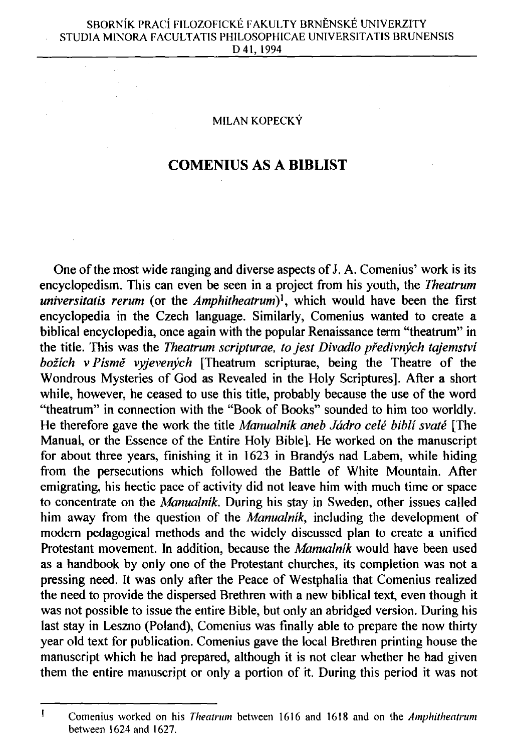$\mathbb{R}^2$ 

## **MILAN KOPECKY**

## **COMENIUS AS A BIBLIST**

One of the most wide ranging and diverse aspects of J. A. Comenius' work is its encyclopedism. This can even be seen in a project from his youth, the *Theatrum universitatis rerum* (or the *Amphitheatrum)<sup>1</sup>* , which would have been the first encyclopedia in the Czech language. Similarly, Comenius wanted to create a biblical encyclopedia, once again with the popular Renaissance term "theatrum" in the title. This was the *Theatrum scripturae, to jest Divadlo pfedivnych tajemstvi bozich* v *Pisme vyjevenych* [Theatrum scripturae, being the Theatre of the Wondrous Mysteries of God as Revealed in the Holy Scriptures]. After a short while, however, he ceased to use this title, probably because the use of the word "theatrum" in connection with the "Book of Books" sounded to him too worldly. He therefore gave the work the title *Manualnik aneb Jádro celé bibli svaté* [The Manual, or the Essence of the Entire Holy Bible]. He worked on the manuscript for about three years, finishing it in 1623 in Brandys nad Labem, while hiding from the persecutions which followed the Battle of White Mountain. After emigrating, his hectic pace of activity did not leave him with much time or space to concentrate on the *Mamualnik*. During his stay in Sweden, other issues called him away from the question of the *Manualnik,* including the development of modern pedagogical methods and the widely discussed plan to create a unified Protestant movement. In addition, because the *Manualnik* would have been used as a handbook by only one of the Protestant churches, its completion was not a pressing need. It was only after the Peace of Westphalia that Comenius realized the need to provide the dispersed Brethren with a new biblical text, even though it was not possible to issue the entire Bible, but only an abridged version. During his last stay in Leszno (Poland), Comenius was finally able to prepare the now thirty year old text for publication. Comenius gave the local Brethren printing house the manuscript which he had prepared, although it is not clear whether he had given them the entire manuscript or only a portion of it. During this period it was not

 $\mathbf{I}$ **Comenius worked on his** *Theatrum* **between 1616 and 1618 and on the** *Amphitheatrum*  **between 1624 and 1627.**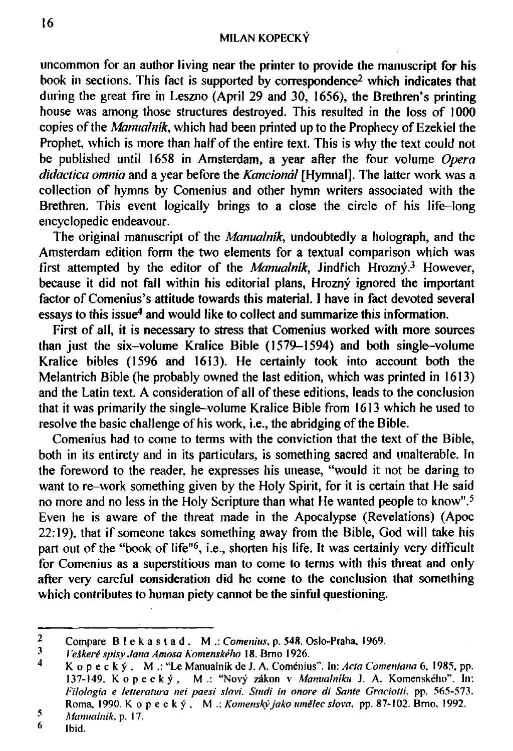uncommon for an author living near the printer to provide the manuscript for his book in sections. This fact is supported by correspondence<sup>2</sup> which indicates that during the great fire in Leszno (April 29 and 30, 1656), the Brethren's printing house was among those structures destroyed. This resulted in the loss of 1000 copies of the *Mamiahuk,* which had been printed up to the Prophecy of Ezekiel the Prophet, which is more than half of the entire text. This is why the text could not be published until 1658 in Amsterdam, a year after the four volume *Opera didactica omnia* and a year before the *Kancional* [Hymnal]. The latter work was a collection of hymns by Comenius and other hymn writers associated with the Brethren. This event logically brings to a close the circle of his life-long encyclopedic endeavour.

The original manuscript of the *Mamualnik*, undoubtedly a holograph, and the Amsterdam edition form the two elements for a textual comparison which was first attempted by the editor of the *Manualnik,* Jindfich Hrozny.<sup>3</sup> However, because it did not fall within his editorial plans, Hrozný ignored the important factor of Comenius's attitude towards this material. I have in fact devoted several essays to this issue<sup>4</sup> and would like to collect and summarize this information.

First of all, it is necessary to stress that Comenius worked with more sources than just the six-volume Kralice Bible (1579-1594) and both single-volume Kralice bibles (1596 and 1613). He certainly took into account both the Melantrich Bible (he probably owned the last edition, which was printed in 1613) and the Latin text. A consideration of all of these editions, leads to the conclusion that it was primarily the single-volume Kralice Bible from 1613 which he used to resolve the basic challenge of his work, i.e., the abridging of the Bible.

Comenius had to come to terms with the conviction that the text of the Bible, both in its entirety and in its particulars, is something sacred and unalterable. In the foreword to the reader, he expresses his unease, "would it not be daring to want to re-work something given by the Holy Spirit, for it is certain that He said no more and no less in the Holy Scripture than what He wanted people to know".<sup>5</sup> Even he is aware of the threat made in the Apocalypse (Revelations) (Apoc 22:19), that if someone takes something away from the Bible, God will take his part out of the "book of life"<sup>6</sup>, i.e., shorten his life. It was certainly very difficult for Comenius as a superstitious man to come to terms with this threat and only after very careful consideration did he come to the conclusion that something which contributes to human piety cannot be the sinful questioning.

**<sup>2</sup> Compare Blekastad . M .:** *Comenius,* **p. 548. Oslo-Praha. 1969.** 

*Veškeré spisy Jana Amosa Komenského* 18. Brno 1926.

**<sup>4</sup> Kopecky , M. : "Le Manualnik de J. A. Comenius". In:** *Acta Comeniana* **6, 1985, pp. 137-149. Kopecky , M. : "Novy zakon v** *Manualniku* **J. A. Komenskeho". In:**  *Filologia e letteratura nei paesi slavi. Stitcii in onore di Sante Graciolli,* **pp. 565-573. Roma, 1990. Kopecky , M .:** *Komensky<sup>1</sup> jako ttmilec slow,* **pp. 87-102. Brno, 1992.** 

*<sup>5</sup> Manualnik,* **p. 17.** 

**<sup>6</sup> Ibid.**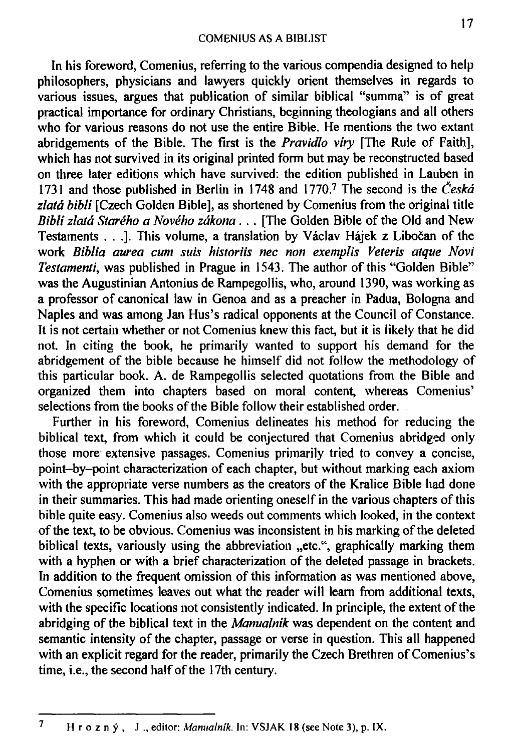In his foreword, Comenius, referring to the various compendia designed to help philosophers, physicians and lawyers quickly orient themselves in regards to various issues, argues that publication of similar biblical "summa" is of great practical importance for ordinary Christians, beginning theologians and all others who for various reasons do not use the entire Bible. He mentions the two extant abridgements of the Bible. The first is the *Pravidlo viry* [The Rule of Faith], which has not survived in its original printed form but may be reconstructed based on three later editions which have survived: the edition published in Lauben in 1731 and those published in Berlin in 1748 and 1770.<sup>7</sup> The second is the *Ceskd zlatd bibli* [Czech Golden Bible], as shortened by Comenius from the original title *Bibli zlatd Stareho a Noveho zdkona .* . . [The Golden Bible of the Old and New Testaments . . .]. This volume, a translation by Václav Hájek z Libočan of the work *Biblia aurea cum suis historiis nec non exemplis Veteris alque Novi Testamenti,* was published in Prague in 1543. The author of this "Golden Bible" was the Augustinian Antonius de Rampegollis, who, around 1390, was working as a professor of canonical law in Genoa and as a preacher in Padua, Bologna and Naples and was among Jan Hus's radical opponents at the Council of Constance. It is not certain whether or not Comenius knew this fact, but it is likely that he did not. In citing the book, he primarily wanted to support his demand for the abridgement of the bible because he himself did not follow the methodology of this particular book. A. de Rampegollis selected quotations from the Bible and organized them into chapters based on moral content, whereas Comenius' selections from the books of the Bible follow their established order.

Further in his foreword, Comenius delineates his method for reducing the biblical text, from which it could be conjectured that Comenius abridged only those more extensive passages. Comenius primarily tried to convey a concise, point-by-point characterization of each chapter, but without marking each axiom with the appropriate verse numbers as the creators of the Kralice Bible had done in their summaries. This had made orienting oneself in the various chapters of this bible quite easy. Comenius also weeds out comments which looked, in the context of the text, to be obvious. Comenius was inconsistent in his marking of the deleted biblical texts, variously using the abbreviation "etc.", graphically marking them with a hyphen or with a brief characterization of the deleted passage in brackets. In addition to the frequent omission of this information as was mentioned above, Comenius sometimes leaves out what the reader will learn from additional texts, with the specific locations not consistently indicated. In principle, the extent of the abridging of the biblical text in the *Manualnik* was dependent on the content and semantic intensity of the chapter, passage or verse in question. This all happened with an explicit regard for the reader, primarily the Czech Brethren of Comenius's time, i.e., the second half of the 17th century.

 $\overline{7}$ **Hrozny , J ., editor:** *Manualnik.* **In: VSJAK. 18 (see Note 3), p. IX.**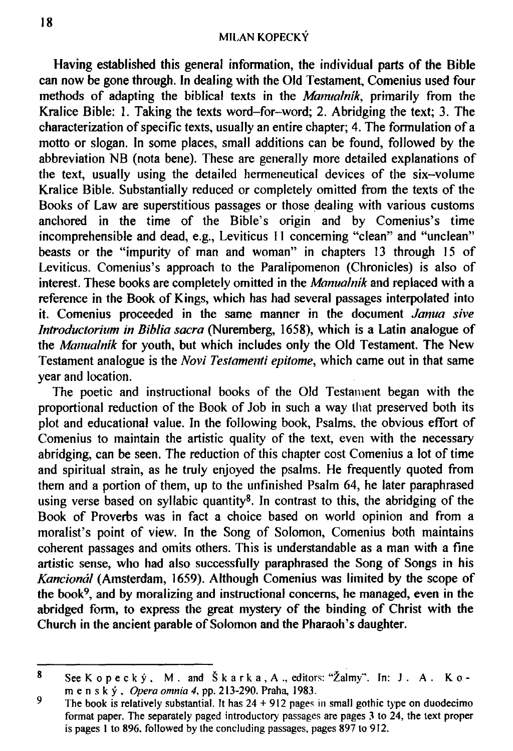Having established this general information, the individual parts of the Bible can now be gone through. In dealing with the Old Testament, Comenius used four methods of adapting the biblical texts in the *Mamta/nik,* primarily from the Kralice Bible: 1. Taking the texts word-for-word; 2. Abridging the text; 3. The characterization of specific texts, usually an entire chapter; 4. The formulation of a motto or slogan. In some places, small additions can be found, followed by the abbreviation NB (nota bene). These are generally more detailed explanations of the text, usually using the detailed hermeneutical devices of the six-volume Kralice Bible. Substantially reduced or completely omitted from the texts of the Books of Law are superstitious passages or those dealing with various customs anchored in the time of the Bible's origin and by Comenius's time incomprehensible and dead, e.g., Leviticus 11 concerning "clean" and "unclean" beasts or the "impurity of man and woman" in chapters 13 through 15 of Leviticus. Comenius's approach to the Paralipomenon (Chronicles) is also of interest. These books are completely omitted in the *Manualnik* and replaced with a reference in the Book of Kings, which has had several passages interpolated into it. Comenius proceeded in the same manner in the document *Janua sive Introductorium in Biblia sacra* (Nuremberg, 1658), which is a Latin analogue of the *Manualnik* for youth, but which includes only the Old Testament. The New Testament analogue is the *Novi Testamenti epitome,* which came out in that same year and location.

The poetic and instructional books of the Old Testament began with the proportional reduction of the Book of Job in such a way that preserved both its plot and educational value. In the following book, Psalms, the obvious effort of Comenius to maintain the artistic quality of the text, even with the necessary abridging, can be seen. The reduction of this chapter cost Comenius a lot of time and spiritual strain, as he truly enjoyed the psalms. He frequently quoted from them and a portion of them, up to the unfinished Psalm 64, he later paraphrased using verse based on syllabic quantity<sup>8</sup>. In contrast to this, the abridging of the Book of Proverbs was in fact a choice based on world opinion and from a moralist's point of view. In the Song of Solomon, Comenius both maintains coherent passages and omits others. This is understandable as a man with a fine artistic sense, who had also successfully paraphrased the Song of Songs in his *Kanciondl* (Amsterdam, 1659). Although Comenius was limited by the scope of the book<sup>9</sup>, and by moralizing and instructional concerns, he managed, even in the abridged form, to express the great mystery of the binding of Christ with the Church in the ancient parable of Solomon and the Pharaoh's daughter.

<sup>8</sup> **See Kopecky , M . and Skarka,A. , editors: "2almy". In: J . A . K. o m e n s k y ,** *Opera omnia 4,* **pp. 213-290. Praha, 1983.** 

<sup>9</sup> **The book is relatively substantial. It has 24 + 912 pages in small gothic type on duodecimo format paper. The separately paged introductory passages are pages 3 to 24, the text proper is pages 1 to 896, followed by the concluding passages, pages 897 to 912.**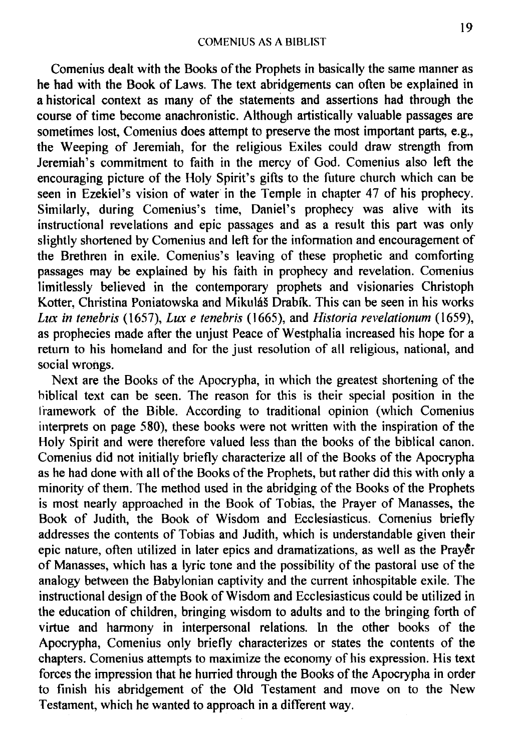Comenius dealt with the Books of the Prophets in basically the same manner as he had with the Book of Laws. The text abridgements can often be explained in a historical context as many of the statements and assertions had through the course of time become anachronistic. Although artistically valuable passages are sometimes lost, Comenius does attempt to preserve the most important parts, e.g., the Weeping of Jeremiah, for the religious Exiles could draw strength from Jeremiah's commitment to faith in the mercy of God. Comenius also left the encouraging picture of the Holy Spirit's gifts to the future church which can be seen in Ezekiel's vision of water in the Temple in chapter 47 of his prophecy. Similarly, during Comenius's time, Daniel's prophecy was alive with its instructional revelations and epic passages and as a result this part was only slightly shortened by Comenius and left for the information and encouragement of the Brethren in exile. Comenius's leaving of these prophetic and comforting passages may be explained by his faith in prophecy and revelation. Comenius limitlessly believed in the contemporary prophets and visionaries Christoph Kotter, Christina Poniatowska and Mikuláš Drabík. This can be seen in his works *Lux in tenebris* (1657), *Lux e tenebris* (1665), and *Historia revelationum* (1659), as prophecies made after the unjust Peace of Westphalia increased his hope for a return to his homeland and for the just resolution of all religious, national, and social wrongs.

Next are the Books of the Apocrypha, in which the greatest shortening of the biblical text can be seen. The reason for this is their special position in the framework of the Bible. According to traditional opinion (which Comenius interprets on page 580), these books were not written with the inspiration of the Holy Spirit and were therefore valued less than the books of the biblical canon. Comenius did not initially briefly characterize all of the Books of the Apocrypha as he had done with all of the Books of the Prophets, but rather did this with only a minority of them. The method used in the abridging of the Books of the Prophets is most nearly approached in the Book of Tobias, the Prayer of Manasses, the Book of Judith, the Book of Wisdom and Ecclesiasticus. Comenius briefly addresses the contents of Tobias and Judith, which is understandable given their epic nature, often utilized in later epics and dramatizations, as well as the Prayer of Manasses, which has a lyric tone and the possibility of the pastoral use of the analogy between the Babylonian captivity and the current inhospitable exile. The instructional design of the Book of Wisdom and Ecclesiasticus could be utilized in the education of children, bringing wisdom to adults and to the bringing forth of virtue and harmony in interpersonal relations. In the other books of the Apocrypha, Comenius only briefly characterizes or states the contents of the chapters. Comenius attempts to maximize the economy of his expression. His text forces the impression that he hurried through the Books of the Apocrypha in order to finish his abridgement of the Old Testament and move on to the New Testament, which he wanted to approach in a different way.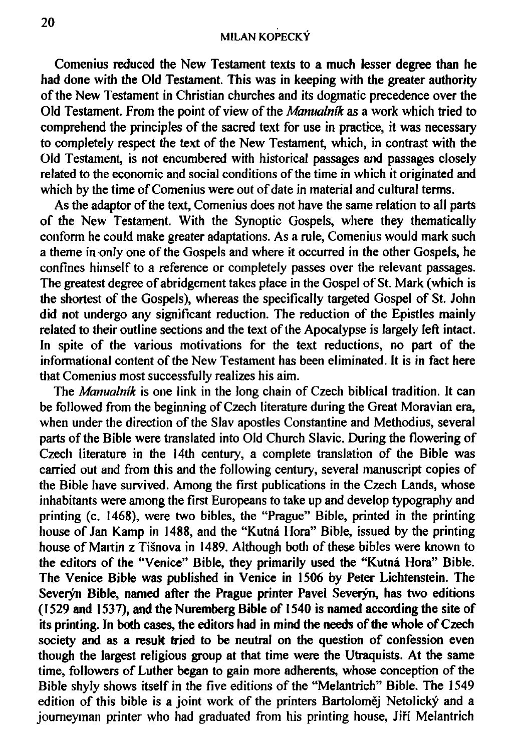Comenius reduced the New Testament texts to a much lesser degree than he had done with the Old Testament. This was in keeping with the greater authority of the New Testament in Christian churches and its dogmatic precedence over the Old Testament. From the point of view of the *Manualnik* as a work which tried to comprehend the principles of the sacred text for use in practice, it was necessary to completely respect the text of the New Testament, which, in contrast with the Old Testament, is not encumbered with historical passages and passages closely related to the economic and social conditions of the time in which it originated and which by the time of Comenius were out of date in material and cultural terms.

As the adaptor of the text, Comenius does not have the same relation to all parts of the New Testament. With the Synoptic Gospels, where they thematically conform he could make greater adaptations. As a rule, Comenius would mark such a theme in only one of the Gospels and where it occurred in the other Gospels, he confines himself to a reference or completely passes over the relevant passages. The greatest degree of abridgement takes place in the Gospel of St. Mark (which is the shortest of the Gospels), whereas the specifically targeted Gospel of St. John did not undergo any significant reduction. The reduction of the Epistles mainly related to their outline sections and the text of the Apocalypse is largely left intact. In spite of the various motivations for the text reductions, no part of the informational content of the New Testament has been eliminated. It is in fact here that Comenius most successfully realizes his aim.

The *Manualnik* is one link in the long chain of Czech biblical tradition. It can be followed from the beginning of Czech literature during the Great Moravian era, when under the direction of the Slav apostles Constantine and Methodius, several parts of the Bible were translated into Old Church Slavic. During the flowering of Czech literature in the 14th century, a complete translation of the Bible was carried out and from this and the following century, several manuscript copies of the Bible have survived. Among the first publications in the Czech Lands, whose inhabitants were among the first Europeans to take up and develop typography and printing (c. 1468), were two bibles, the "Prague" Bible, printed in the printing house of Jan Kamp in 1488, and the "Kutna Hora" Bible, issued by the printing house of Martin z Tisnova in 1489. Although both of these bibles were known to the editors of the "Venice" Bible, they primarily used the "Kutná Hora" Bible. The Venice Bible was published in Venice in 1506 by Peter Lichtenstein. The Severýn Bible, named after the Prague printer Pavel Severýn, has two editions (1529 and 1537), and the Nuremberg Bible of 1540 is named according the site of its printing. In both cases, the editors had in mind the needs of the whole of Czech society and as a result tried to be neutral on the question of confession even though the largest religious group at that time were the Utraquists. At the same time, followers of Luther began to gain more adherents, whose conception of the Bible shyly shows itself in the five editions of the "Melantrich" Bible. The 1549 edition of this bible is a joint work of the printers Bartoloměj Netolický and a journeyman printer who had graduated from his printing house, Jifi Melantrich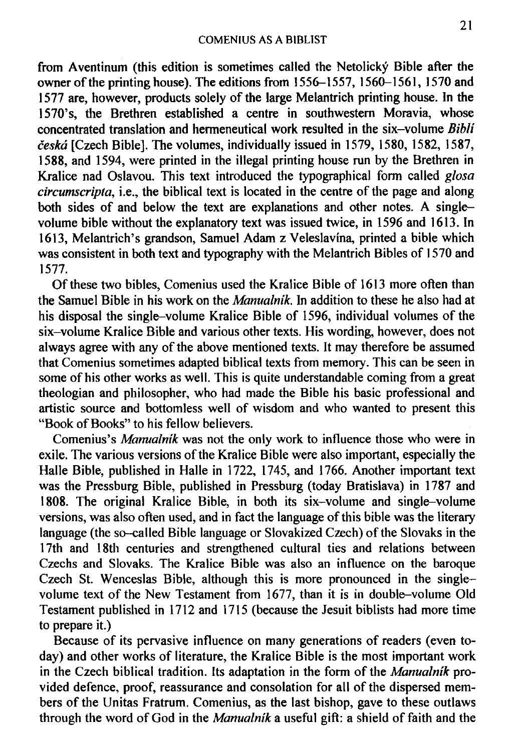from Aventinum (this edition is sometimes called the Netolicky Bible after the owner of the printing house). The editions from 1556-1557, 1560-1561, 1570 and 1577 are, however, products solely of the large Melantrich printing house. In the 1570's, the Brethren established a centre in southwestern Moravia, whose concentrated translation and hermeneutical work resulted in the six-volume *Bibli ceskd* [Czech Bible]. The volumes, individually issued in 1579, 1580, 1582, 1587, 1588, and 1594, were printed in the illegal printing house run by the Brethren in Kralice nad Oslavou. This text introduced the typographical form called *glosa circumscripta,* i.e., the biblical text is located in the centre of the page and along both sides of and below the text are explanations and other notes. A singlevolume bible without the explanatory text was issued twice, in 1596 and 1613. In 1613, Melantrich's grandson, Samuel Adam z Veleslavina, printed a bible which was consistent in both text and typography with the Melantrich Bibles of 1570 and 1577.

Of these two bibles, Comenius used the Kralice Bible of 1613 more often than the Samuel Bible in his work on the *Manualnik.* In addition to these he also had at his disposal the single-volume Kralice Bible of 1596, individual volumes of the six-volume Kralice Bible and various other texts. His wording, however, does not always agree with any of the above mentioned texts. It may therefore be assumed that Comenius sometimes adapted biblical texts from memory. This can be seen in some of his other works as well. This is quite understandable coming from a great theologian and philosopher, who had made the Bible his basic professional and artistic source and bottomless well of wisdom and who wanted to present this "Book of Books" to his fellow believers.

Comenius's *Manualnik* was not the only work to influence those who were in exile. The various versions of the Kralice Bible were also important, especially the Halle Bible, published in Halle in 1722, 1745, and 1766. Another important text was the Pressburg Bible, published in Pressburg (today Bratislava) in 1787 and 1808. The original Kralice Bible, in both its six-volume and single-volume versions, was also often used, and in fact the language of this bible was the literary language (the so-called Bible language or Slovakized Czech) of the Slovaks in the 17th and 18th centuries and strengthened cultural ties and relations between Czechs and Slovaks. The Kralice Bible was also an influence on the baroque Czech St. Wenceslas Bible, although this is more pronounced in the singlevolume text of the New Testament from 1677, than it is in double-volume Old Testament published in 1712 and 1715 (because the Jesuit biblists had more time to prepare it.)

Because of its pervasive influence on many generations of readers (even today) and other works of literature, the Kralice Bible is the most important work in the Czech biblical tradition. Its adaptation in the form of the *Manualnik* provided defence, proof, reassurance and consolation for all of the dispersed members of the Unitas Fratrum. Comenius, as the last bishop, gave to these outlaws through the word of God in the *Manualnik* a useful gift: a shield of faith and the